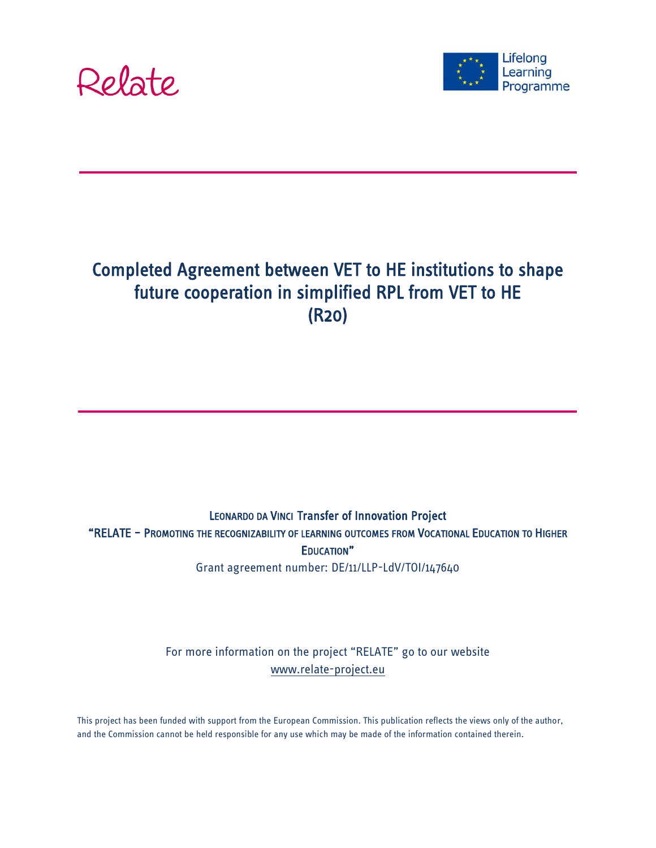



# Completed Agreement between VET to HE institutions to shape future cooperation in simplified RPL from VET to HE (R20)

LEONARDO DA VINCI Transfer of Innovation Project "RELATE – PROMOTING THE RECOGNIZABILITY OF LEARNING OUTCOMES FROM VOCATIONAL EDUCATION TO HIGHER EDUCATION" Grant agreement number: DE/11/LLP-LdV/TOI/147640

> For more information on the project "RELATE" go to our website [www.relate-project.eu](http://www.relate-project.eu/)

This project has been funded with support from the European Commission. This publication reflects the views only of the author, and the Commission cannot be held responsible for any use which may be made of the information contained therein.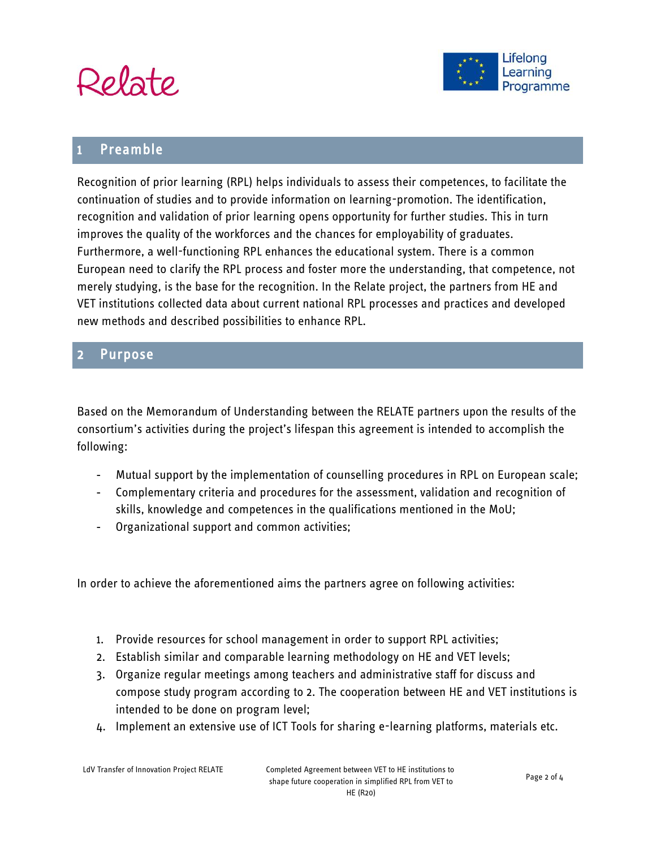



## Preamble

Recognition of prior learning (RPL) helps individuals to assess their competences, to facilitate the continuation of studies and to provide information on learning-promotion. The identification, recognition and validation of prior learning opens opportunity for further studies. This in turn improves the quality of the workforces and the chances for employability of graduates. Furthermore, a well-functioning RPL enhances the educational system. There is a common European need to clarify the RPL process and foster more the understanding, that competence, not merely studying, is the base for the recognition. In the Relate project, the partners from HE and VET institutions collected data about current national RPL processes and practices and developed new methods and described possibilities to enhance RPL.

#### **Purpose**

Based on the Memorandum of Understanding between the RELATE partners upon the results of the consortium's activities during the project's lifespan this agreement is intended to accomplish the following:

- Mutual support by the implementation of counselling procedures in RPL on European scale;
- Complementary criteria and procedures for the assessment, validation and recognition of skills, knowledge and competences in the qualifications mentioned in the MoU;
- Organizational support and common activities;

In order to achieve the aforementioned aims the partners agree on following activities:

- 1. Provide resources for school management in order to support RPL activities;
- 2. Establish similar and comparable learning methodology on HE and VET levels;
- 3. Organize regular meetings among teachers and administrative staff for discuss and compose study program according to 2. The cooperation between HE and VET institutions is intended to be done on program level;
- 4. Implement an extensive use of ICT Tools for sharing e-learning platforms, materials etc.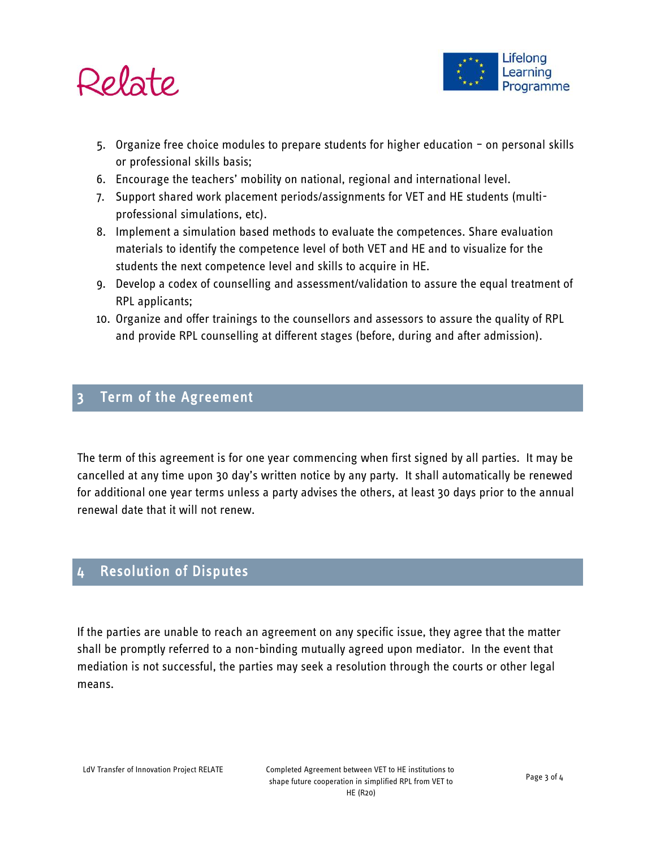



- 5. Organize free choice modules to prepare students for higher education on personal skills or professional skills basis;
- 6. Encourage the teachers' mobility on national, regional and international level.
- 7. Support shared work placement periods/assignments for VET and HE students (multiprofessional simulations, etc).
- 8. Implement a simulation based methods to evaluate the competences. Share evaluation materials to identify the competence level of both VET and HE and to visualize for the students the next competence level and skills to acquire in HE.
- 9. Develop a codex of counselling and assessment/validation to assure the equal treatment of RPL applicants;
- 10. Organize and offer trainings to the counsellors and assessors to assure the quality of RPL and provide RPL counselling at different stages (before, during and after admission).

#### Term of the Agreement

The term of this agreement is for one year commencing when first signed by all parties. It may be cancelled at any time upon 30 day's written notice by any party. It shall automatically be renewed for additional one year terms unless a party advises the others, at least 30 days prior to the annual renewal date that it will not renew.

## 4 Resolution of Disputes

If the parties are unable to reach an agreement on any specific issue, they agree that the matter shall be promptly referred to a non-binding mutually agreed upon mediator. In the event that mediation is not successful, the parties may seek a resolution through the courts or other legal means.